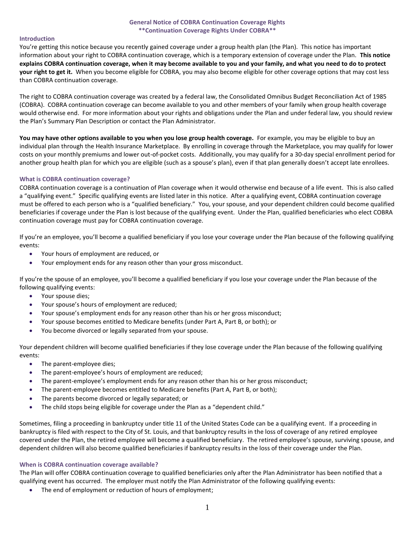### **General Notice of COBRA Continuation Coverage Rights \*\*Continuation Coverage Rights Under COBRA\*\***

### **Introduction**

You're getting this notice because you recently gained coverage under a group health plan (the Plan). This notice has important information about your right to COBRA continuation coverage, which is a temporary extension of coverage under the Plan. **This notice explains COBRA continuation coverage, when it may become available to you and your family, and what you need to do to protect your right to get it.** When you become eligible for COBRA, you may also become eligible for other coverage options that may cost less than COBRA continuation coverage.

The right to COBRA continuation coverage was created by a federal law, the Consolidated Omnibus Budget Reconciliation Act of 1985 (COBRA). COBRA continuation coverage can become available to you and other members of your family when group health coverage would otherwise end. For more information about your rights and obligations under the Plan and under federal law, you should review the Plan's Summary Plan Description or contact the Plan Administrator.

**You may have other options available to you when you lose group health coverage.** For example, you may be eligible to buy an individual plan through the Health Insurance Marketplace. By enrolling in coverage through the Marketplace, you may qualify for lower costs on your monthly premiums and lower out-of-pocket costs. Additionally, you may qualify for a 30-day special enrollment period for another group health plan for which you are eligible (such as a spouse's plan), even if that plan generally doesn't accept late enrollees.

### **What is COBRA continuation coverage?**

COBRA continuation coverage is a continuation of Plan coverage when it would otherwise end because of a life event. This is also called a "qualifying event." Specific qualifying events are listed later in this notice. After a qualifying event, COBRA continuation coverage must be offered to each person who is a "qualified beneficiary." You, your spouse, and your dependent children could become qualified beneficiaries if coverage under the Plan is lost because of the qualifying event. Under the Plan, qualified beneficiaries who elect COBRA continuation coverage must pay for COBRA continuation coverage.

If you're an employee, you'll become a qualified beneficiary if you lose your coverage under the Plan because of the following qualifying events:

- Your hours of employment are reduced, or
- Your employment ends for any reason other than your gross misconduct.

If you're the spouse of an employee, you'll become a qualified beneficiary if you lose your coverage under the Plan because of the following qualifying events:

- Your spouse dies;
- Your spouse's hours of employment are reduced;
- Your spouse's employment ends for any reason other than his or her gross misconduct;
- Your spouse becomes entitled to Medicare benefits (under Part A, Part B, or both); or
- You become divorced or legally separated from your spouse.

Your dependent children will become qualified beneficiaries if they lose coverage under the Plan because of the following qualifying events:

- The parent-employee dies;
- The parent-employee's hours of employment are reduced;
- The parent-employee's employment ends for any reason other than his or her gross misconduct;
- The parent-employee becomes entitled to Medicare benefits (Part A, Part B, or both);
- The parents become divorced or legally separated; or
- The child stops being eligible for coverage under the Plan as a "dependent child."

Sometimes, filing a proceeding in bankruptcy under title 11 of the United States Code can be a qualifying event. If a proceeding in bankruptcy is filed with respect to the City of St. Louis, and that bankruptcy results in the loss of coverage of any retired employee covered under the Plan, the retired employee will become a qualified beneficiary. The retired employee's spouse, surviving spouse, and dependent children will also become qualified beneficiaries if bankruptcy results in the loss of their coverage under the Plan.

# **When is COBRA continuation coverage available?**

The Plan will offer COBRA continuation coverage to qualified beneficiaries only after the Plan Administrator has been notified that a qualifying event has occurred. The employer must notify the Plan Administrator of the following qualifying events:

• The end of employment or reduction of hours of employment;